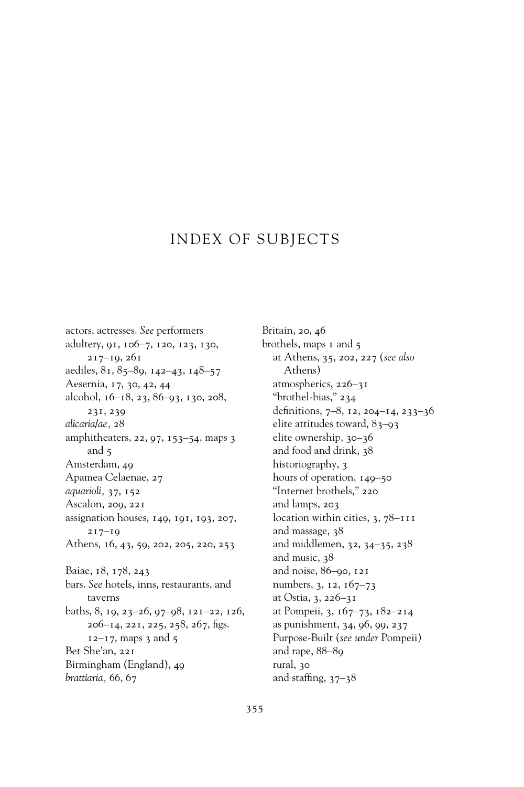## INDEX OF SUBJECTS

actors, actresses. *See* performers adultery, 91, 106–7, 120, 123, 130, 217–19, 261 aediles, 81, 85–89, 142–43, 148–57 Aesernia, 17, 30, 42, 44 alcohol, 16–18, 23, 86–93, 130, 208, 231, 239 *alicaria/ae,* 28 amphitheaters, 22, 97, 153–54, maps 3 and 5 Amsterdam, 49 Apamea Celaenae, 27 *aquarioli,* 37, 152 Ascalon, 209, 221 assignation houses, 149, 191, 193, 207, 217–19 Athens, 16, 43, 59, 202, 205, 220, 253 Baiae, 18, 178, 243 bars. *See* hotels, inns, restaurants, and taverns baths, 8, 19, 23–26, 97–98, 121–22, 126,  $206 - 14$ ,  $221$ ,  $225$ ,  $258$ ,  $267$ , figs.  $12 - 17$ , maps 3 and 5 Bet She'an, 221 Birmingham (England), 49 *brattiaria,* 66, 67

Britain, 20, 46 brothels, maps 1 and 5 at Athens, 35, 202, 227 (*see also* Athens) atmospherics, 226–31 "brothel-bias," 234 definitions, 7-8, 12, 204-14, 233-36 elite attitudes toward, 83–93 elite ownership, 30–36 and food and drink, 38 historiography, 3 hours of operation, 149–50 "Internet brothels," 220 and lamps, 203 location within cities, 3, 78–111 and massage, 38 and middlemen, 32, 34–35, 238 and music, 38 and noise, 86–90, 121 numbers, 3, 12, 167–73 at Ostia, 3, 226–31 at Pompeii, 3, 167–73, 182–214 as punishment, 34, 96, 99, 237 Purpose-Built (*see under* Pompeii) and rape, 88–89 rural, 30 and staffing,  $37-38$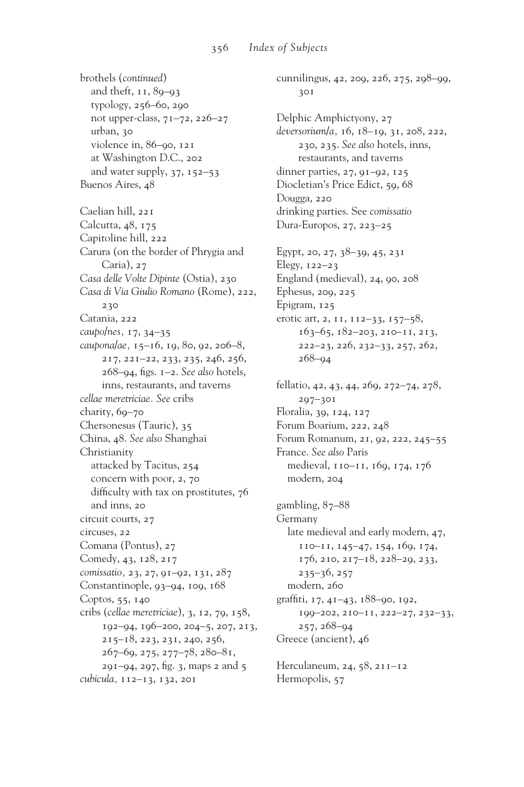brothels (*continued*) and theft, 11, 89–93 typology, 256–60, 290 not upper-class, 71–72, 226–27 urban, 30 violence in, 86–90, 121 at Washington D.C., 202 and water supply, 37, 152–53 Buenos Aires, 48 Caelian hill, 221 Calcutta, 48, 175 Capitoline hill, 222 Carura (on the border of Phrygia and Caria), 27 *Casa delle Volte Dipinte* (Ostia), 230 *Casa di Via Giulio Romano* (Rome), 222, 230 Catania, 222 *caupo/nes,* 17, 34–35 *caupona/ae,* 15–16, 19, 80, 92, 206–8, 217, 221–22, 233, 235, 246, 256, 268-94, figs. 1-2. See also hotels, inns, restaurants, and taverns *cellae meretriciae. See* cribs charity, 69-70 Chersonesus (Tauric), 35 China, 48. *See also* Shanghai Christianity attacked by Tacitus, 254 concern with poor, 2, 70 difficulty with tax on prostitutes,  $76$ and inns, 20 circuit courts, 27 circuses, 22 Comana (Pontus), 27 Comedy, 43, 128, 217 *comissatio,* 23, 27, 91–92, 131, 287 Constantinople, 93–94, 109, 168 Coptos, 55, 140 cribs (*cellae meretriciae*), 3, 12, 79, 158, 192–94, 196–200, 204–5, 207, 213, 215–18, 223, 231, 240, 256, 267–69, 275, 277–78, 280–81,  $291 - 94$ ,  $297$ , fig. 3, maps 2 and 5 *cubicula,* 112–13, 132, 201

cunnilingus, 42, 209, 226, 275, 298–99, 301 Delphic Amphictyony, 27 *deversorium/a,* 16, 18–19, 31, 208, 222, 230, 235. *See also* hotels, inns, restaurants, and taverns dinner parties, 27, 91–92, 125 Diocletian's Price Edict, 59, 68 Dougga, 220 drinking parties. See *comissatio* Dura-Europos, 27, 223–25 Egypt, 20, 27, 38–39, 45, 231 Elegy, 122–23 England (medieval), 24, 90, 208 Ephesus, 209, 225 Epigram, 125 erotic art, 2, 11, 112–33, 157–58, 163–65, 182–203, 210–11, 213, 222–23, 226, 232–33, 257, 262, 268–94 fellatio, 42, 43, 44, 269, 272–74, 278, 297–301 Floralia, 39, 124, 127 Forum Boarium, 222, 248 Forum Romanum, 21, 92, 222, 245–55 France. *See also* Paris medieval, 110–11, 169, 174, 176 modern, 204 gambling, 87–88 Germany late medieval and early modern, 47, 110–11, 145–47, 154, 169, 174, 176, 210, 217–18, 228–29, 233, 235–36, 257 modern, 260 graffiti,  $17, 41-43, 188-90, 192,$ 199–202, 210–11, 222–27, 232–33, 257, 268–94 Greece (ancient), 46 Herculaneum, 24, 58, 211–12 Hermopolis, 57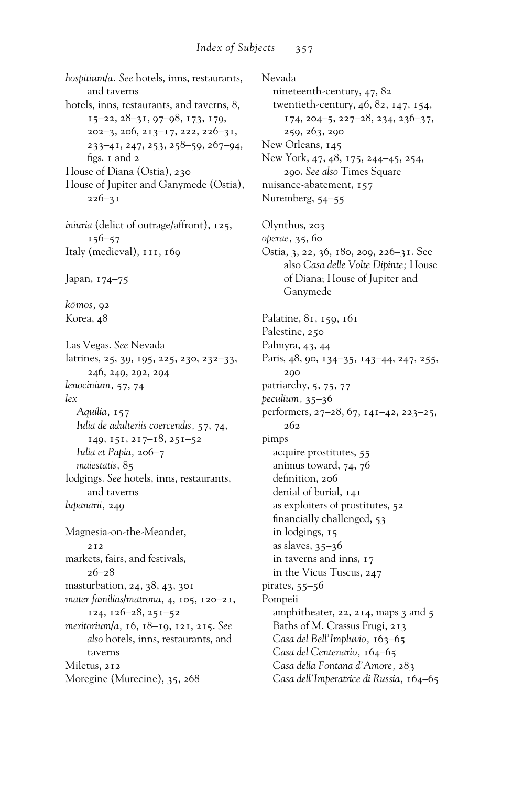*hospitium/a. See* hotels, inns, restaurants, and taverns hotels, inns, restaurants, and taverns, 8, 15–22, 28–31, 97–98, 173, 179, 202–3, 206, 213–17, 222, 226–31, 233–41, 247, 253, 258–59, 267–94, figs.  $I$  and  $2$ House of Diana (Ostia), 230 House of Jupiter and Ganymede (Ostia), 226–31 *iniuria* (delict of outrage/affront), 125, 156–57 Italy (medieval), 111, 169 Japan, 174–75 *ko¯mos,* 92 Korea, 48 Las Vegas. *See* Nevada latrines, 25, 39, 195, 225, 230, 232–33, 246, 249, 292, 294 *lenocinium,* 57, 74 *lex Aquilia,* 157 *Iulia de adulteriis coercendis,* 57, 74, 149, 151, 217–18, 251–52 *Iulia et Papia,* 206–7 *maiestatis,* 85 lodgings. *See* hotels, inns, restaurants, and taverns *lupanarii,* 249 Magnesia-on-the-Meander, 212 markets, fairs, and festivals, 26–28 masturbation, 24, 38, 43, 301 *mater familias/matrona,* 4, 105, 120–21, 124, 126–28, 251–52 *meritorium/a,* 16, 18–19, 121, 215. *See also* hotels, inns, restaurants, and taverns Miletus, 212 Moregine (Murecine), 35, 268

Nevada nineteenth-century, 47, 82 twentieth-century, 46, 82, 147, 154, 174, 204–5, 227–28, 234, 236–37, 259, 263, 290 New Orleans, 145 New York, 47, 48, 175, 244–45, 254, 290. *See also* Times Square nuisance-abatement, 157 Nuremberg, 54–55 Olynthus, 203 *operae,* 35, 60 Ostia, 3, 22, 36, 180, 209, 226–31. See also *Casa delle Volte Dipinte;* House of Diana; House of Jupiter and Ganymede Palatine, 81, 159, 161 Palestine, 250 Palmyra, 43, 44 Paris, 48, 90, 134–35, 143–44, 247, 255, 290 patriarchy, 5, 75, 77 *peculium,* 35–36 performers, 27–28, 67, 141–42, 223–25, 262 pimps acquire prostitutes, 55 animus toward, 74, 76 definition, 206 denial of burial, 141 as exploiters of prostitutes, 52 financially challenged, 53 in lodgings, 15 as slaves,  $35-36$ in taverns and inns, 17 in the Vicus Tuscus, 247 pirates, 55–56 Pompeii amphitheater, 22, 214, maps 3 and 5 Baths of M. Crassus Frugi, 213 *Casa del Bell'Impluvio,* 163–65 *Casa del Centenario,* 164–65 *Casa della Fontana d'Amore,* 283 *Casa dell'Imperatrice di Russia,* 164–65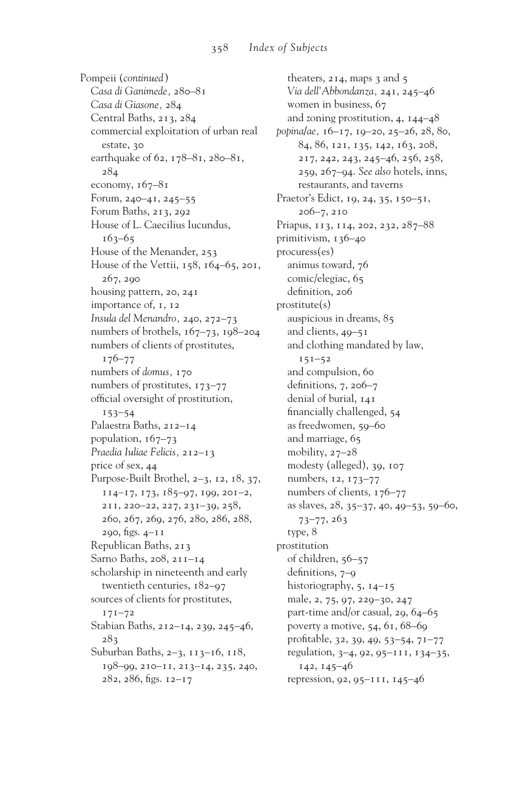Pompeii (*continued*) *Casa di Ganimede,* 280–81 *Casa di Giasone,* 284 Central Baths, 213, 284 commercial exploitation of urban real estate, 30 earthquake of 62, 178–81, 280–81, 284 economy,  $167-81$ Forum, 240–41, 245–55 Forum Baths, 213, 292 House of L. Caecilius Iucundus, 163–65 House of the Menander, 253 House of the Vettii, 158, 164–65, 201, 267, 290 housing pattern, 20, 241 importance of, 1, 12 *Insula del Menandro,* 240, 272–73 numbers of brothels, 167–73, 198–204 numbers of clients of prostitutes, 176–77 numbers of *domus,* 170 numbers of prostitutes, 173–77 official oversight of prostitution, 153–54 Palaestra Baths, 212–14 population, 167–73 *Praedia Iuliae Felicis,* 212–13 price of sex, 44 Purpose-Built Brothel, 2–3, 12, 18, 37, 114–17, 173, 185–97, 199, 201–2, 211, 220–22, 227, 231–39, 258, 260, 267, 269, 276, 280, 286, 288,  $290, figs. 4-11$ Republican Baths, 213 Sarno Baths, 208, 211–14 scholarship in nineteenth and early twentieth centuries, 182–97 sources of clients for prostitutes, 171–72 Stabian Baths, 212–14, 239, 245–46, 283 Suburban Baths, 2–3, 113–16, 118, 198–99, 210–11, 213–14, 235, 240,  $282, 286,$  figs.  $12-17$ 

theaters, 214, maps 3 and 5 *Via dell'Abbondanza,* 241, 245–46 women in business, 67 and zoning prostitution, 4, 144–48 *popina/ae,* 16–17, 19–20, 25–26, 28, 80, 84, 86, 121, 135, 142, 163, 208, 217, 242, 243, 245–46, 256, 258, 259, 267–94. *See also* hotels, inns, restaurants, and taverns Praetor's Edict, 19, 24, 35, 150-51, 206–7, 210 Priapus, 113, 114, 202, 232, 287–88 primitivism, 136–40 procuress(es) animus toward, 76 comic/elegiac, 65 definition, 206 prostitute(s) auspicious in dreams, 85 and clients, 49–51 and clothing mandated by law,  $151 - 52$ and compulsion, 60 definitions,  $7, 206-7$ denial of burial, 141 financially challenged, 54 as freedwomen, 59–60 and marriage, 65 mobility, 27–28 modesty (alleged), 39, 107 numbers, 12, 173–77 numbers of clients, 176–77 as slaves, 28, 35–37, 40, 49–53, 59–60, 73–77, 263 type, 8 prostitution of children, 56–57 definitions,  $7-9$ historiography, 5, 14–15 male, 2, 75, 97, 229–30, 247 part-time and/or casual, 29, 64–65 poverty a motive, 54, 61, 68–69 profitable, 32, 39, 49, 53-54, 71-77 regulation, 3–4, 92, 95–111, 134–35, 142, 145–46 repression, 92, 95–111, 145–46